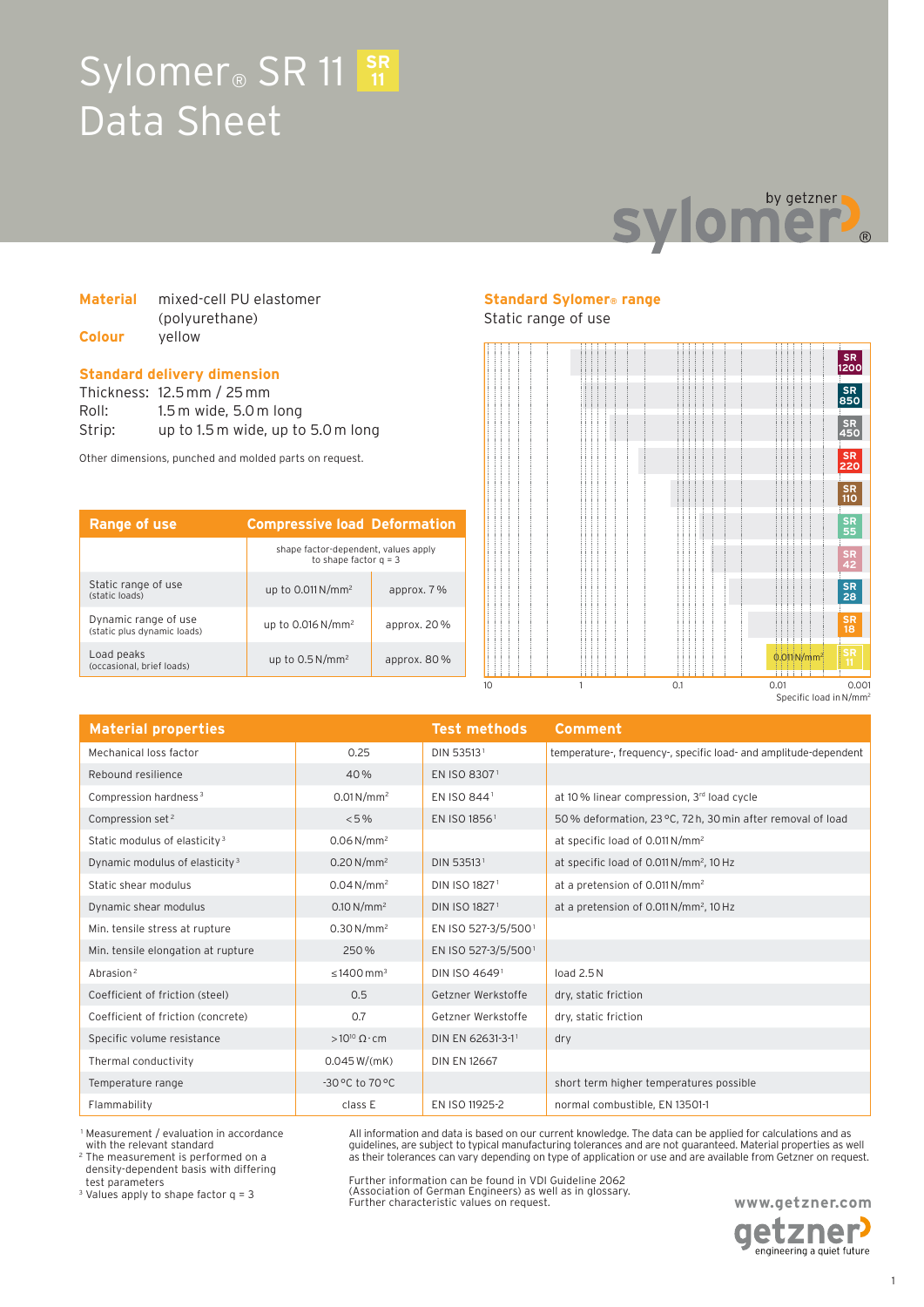# Sylomer<sup>®</sup> SR 11 SR Data Sheet



### **Material** mixed-cell PU elastomer (polyurethane) **Colour** yellow

#### **Standard delivery dimension**

Thickness: 12.5 mm / 25 mm Roll: 1.5 m wide, 5.0 m long Strip: up to 1.5 m wide, up to 5.0 m long

Other dimensions, punched and molded parts on request.

| Range of use                                        | <b>Compressive load Deformation</b>                             |                |
|-----------------------------------------------------|-----------------------------------------------------------------|----------------|
|                                                     | shape factor-dependent, values apply<br>to shape factor $q = 3$ |                |
| Static range of use<br>(static loads)               | up to $0.011 N/mm^2$                                            | approx. 7%     |
| Dynamic range of use<br>(static plus dynamic loads) | up to $0.016 N/mm^2$                                            | approx. $20\%$ |
| Load peaks<br>(occasional, brief loads)             | up to $0.5 N/mm^2$                                              | approx. 80%    |

# **Standard Sylomer® range**

# Static range of use



**Material properties Test methods Comment** Mechanical loss factor 0.25 DIN 53513 <sup>1</sup> temperature-, frequency-, specific load- and amplitude-dependent Rebound resilience 40 % EN ISO 8307 <sup>1</sup> Compression hardness<sup>3</sup> 0.01 N/mm<sup>2</sup> EN ISO 844<sup>1</sup> at 10 % linear compression, 3<sup>rd</sup> load cycle Compression set<sup>2</sup> <5% <5% EN ISO 1856<sup>1</sup> 50% deformation, 23 °C, 72 h, 30 min after removal of load Static modulus of elasticity 3  $0.06 \text{ N/mm}^2$  at specific load of 0.011N/mm<sup>2</sup> Dynamic modulus of elasticity<sup>3</sup> 0.20 N/mm<sup>2</sup> DIN 53513<sup>1</sup> at specific load of 0.011 N/mm<sup>2</sup>, 10 Hz Static shear modulus 0.04 N/mm<sup>2</sup> DIN ISO 1827<sup>1</sup> at a pretension of 0.011N/mm<sup>2</sup> Dynamic shear modulus 0.10 N/mm<sup>2</sup> DIN ISO 1827 <sup>1</sup> at a pretension of 0.011N/mm<sup>2</sup> , 10Hz Min. tensile stress at rupture 0.30 N/mm<sup>2</sup> EN ISO 527-3/5/5001 Min. tensile elongation at rupture 250 % EN ISO 527-3/5/500 <sup>1</sup>  $\frac{1}{2}$  Abrasion<sup>2</sup> 2014 1400 mm<sup>3</sup> DIN ISO 4649<sup>1</sup> load 2.5N Coefficient of friction (steel) 0.5 Getzner Werkstoffe dry, static friction Coefficient of friction (concrete) 0.7 Getzner Werkstoffe dry, static friction Specific volume resistance  $>10^{10} \Omega \cdot cm$  DIN EN 62631-3-1<sup>1</sup> dry Thermal conductivity  $0.045 W/(mK)$  DIN EN 12667 Temperature range  $-30^{\circ}$ C to 70 °C short term higher temperatures possible Flammability **EX ISO 11925-2** normal combustible, EN 13501-1

 1 Measurement / evaluation in accordance with the relevant standard

2 The measurement is performed on a density-dependent basis with differing test parameters

3 Values apply to shape factor q = 3

All information and data is based on our current knowledge. The data can be applied for calculations and as guidelines, are subject to typical manufacturing tolerances and are not guaranteed. Material properties as well as their tolerances can vary depending on type of application or use and are available from Getzner on request.

Further information can be found in VDI Guideline 2062 (Association of German Engineers) as well as in glossary. Further characteristic values on request.

**www.getzner.com**  etzner engineering a quiet future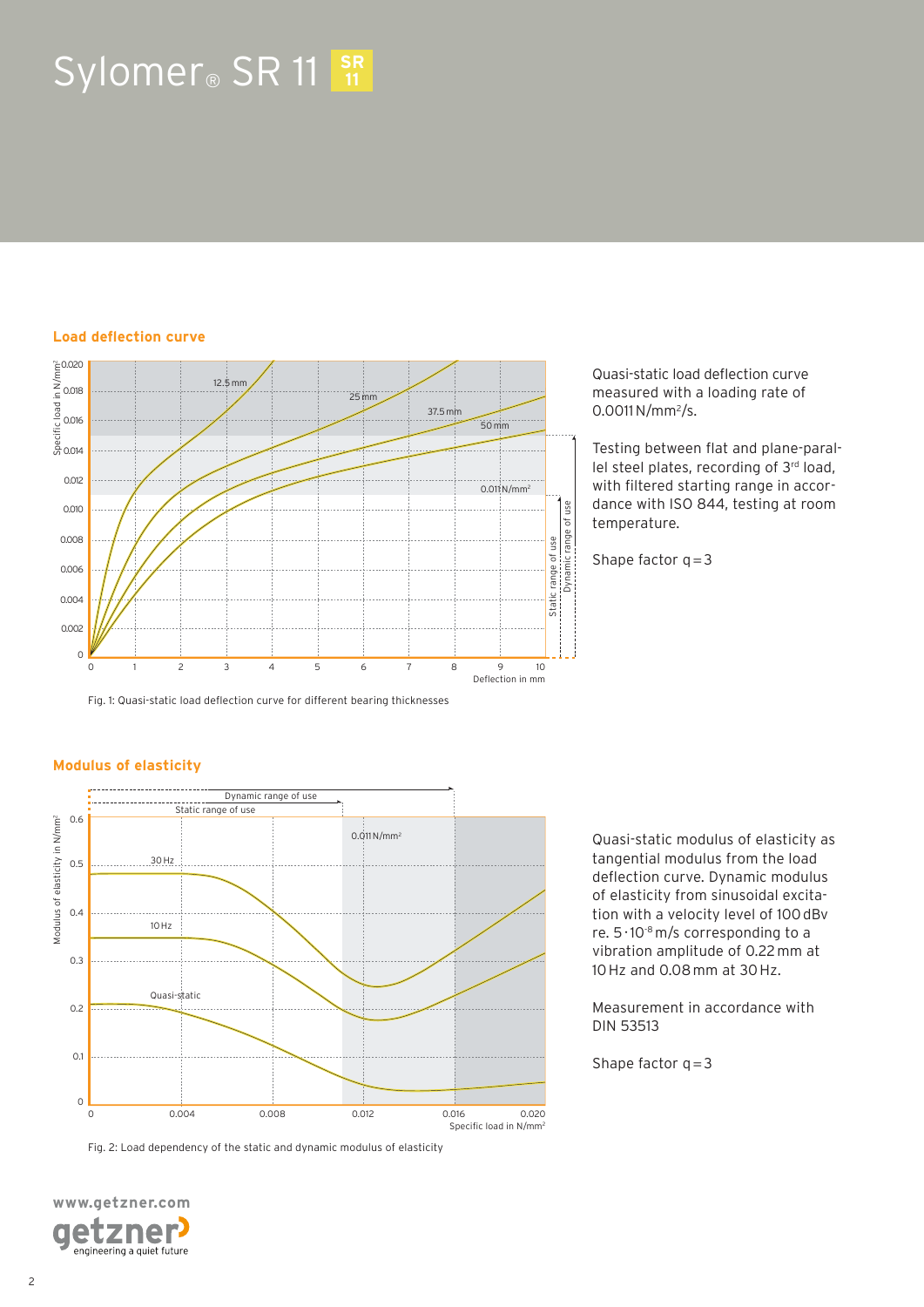# Sylomer<sup>®</sup> SR 11  $\frac{SR}{11}$

#### **Load deflection curve**



Quasi-static load deflection curve measured with a loading rate of 0.0011 N/mm<sup>2</sup>/s.

Testing between flat and plane-parallel steel plates, recording of 3rd load, with filtered starting range in accordance with ISO 844, testing at room temperature.

Shape factor  $q = 3$ 

# **Modulus of elasticity**



Fig. 2: Load dependency of the static and dynamic modulus of elasticity



Quasi-static modulus of elasticity as tangential modulus from the load deflection curve. Dynamic modulus of elasticity from sinusoidal excitation with a velocity level of 100 dBv re. 5 · 10-8 m/s corresponding to a vibration amplitude of 0.22 mm at 10 Hz and 0.08 mm at 30 Hz.

Measurement in accordance with DIN 53513

Shape factor  $q = 3$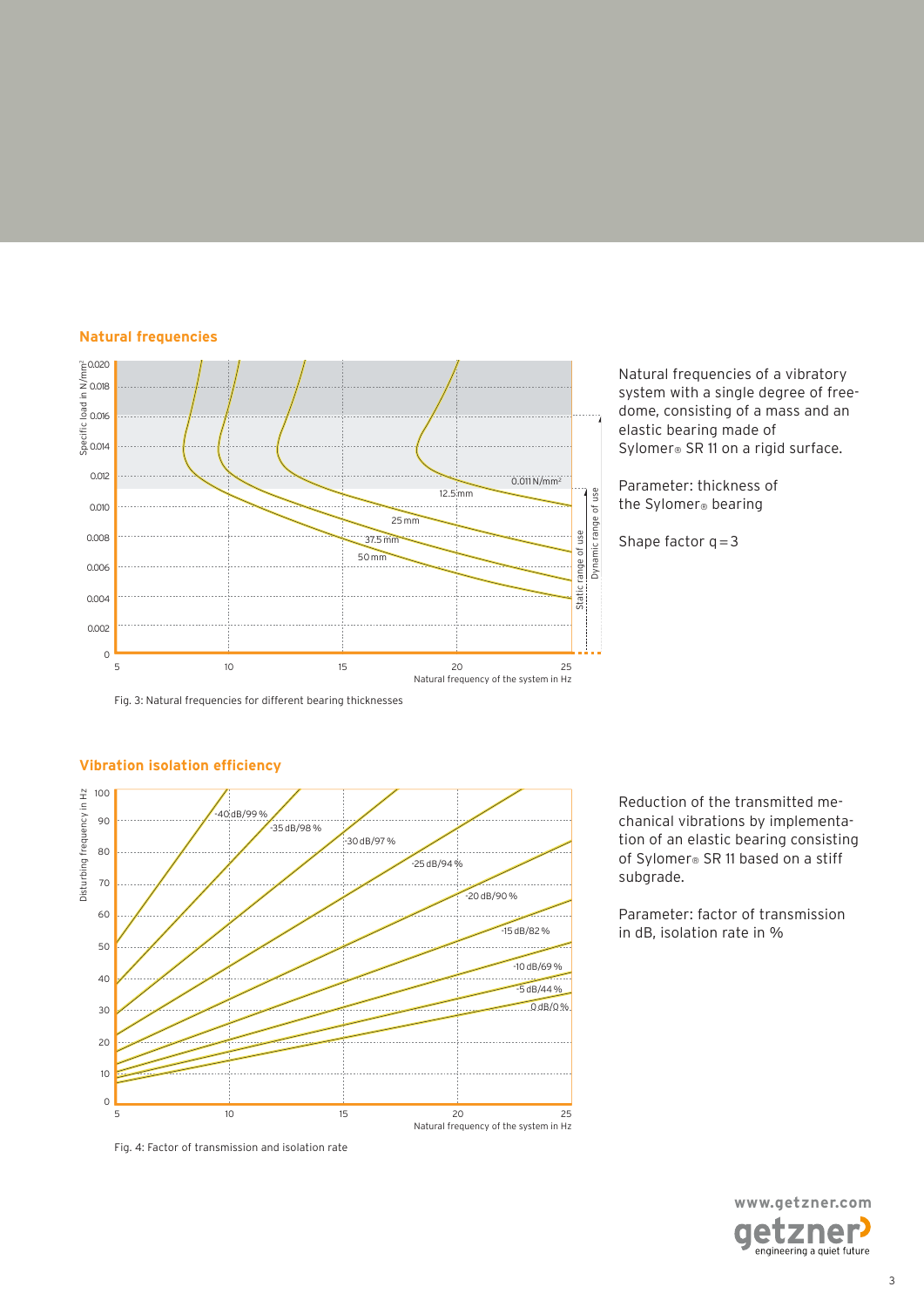# **Natural frequencies**



Natural frequencies of a vibratory system with a single degree of freedome, consisting of a mass and an elastic bearing made of Sylomer® SR 11 on a rigid surface.

Parameter: thickness of the Sylomer® bearing

Shape factor  $q = 3$ 

Fig. 3: Natural frequencies for different bearing thicknesses



# **Vibration isolation efficiency**

Fig. 4: Factor of transmission and isolation rate

Reduction of the transmitted mechanical vibrations by implementation of an elastic bearing consisting of Sylomer® SR 11 based on a stiff subgrade.

Parameter: factor of transmission in dB, isolation rate in %